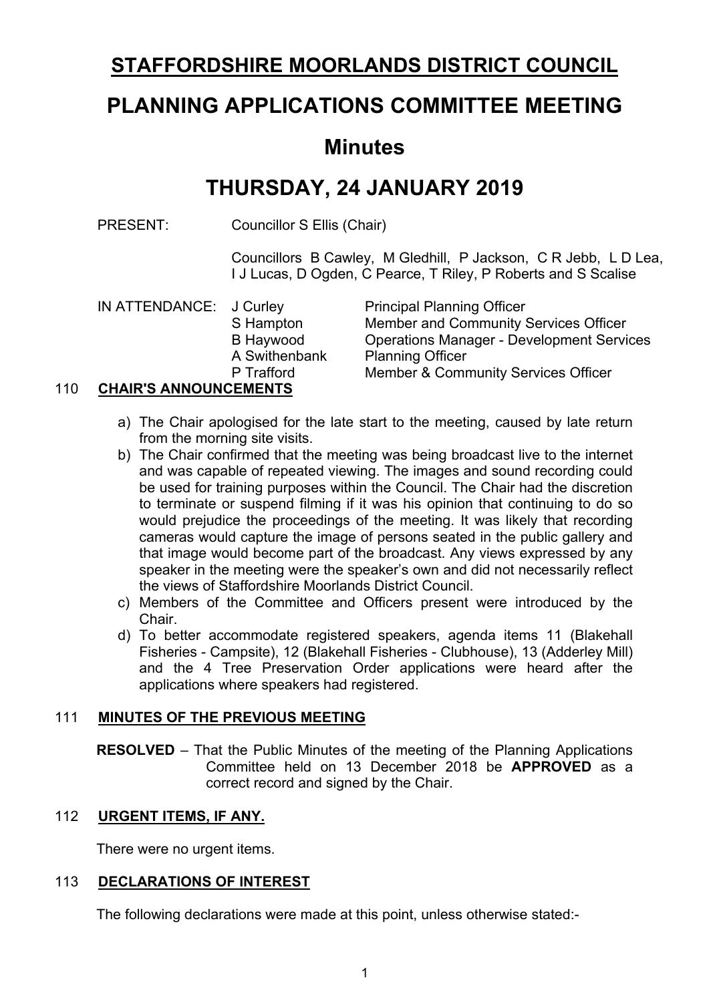# **STAFFORDSHIRE MOORLANDS DISTRICT COUNCIL**

# **PLANNING APPLICATIONS COMMITTEE MEETING**

# **Minutes**

# **THURSDAY, 24 JANUARY 2019**

PRESENT: Councillor S Ellis (Chair)

Councillors B Cawley, M Gledhill, P Jackson, C R Jebb, L D Lea, I J Lucas, D Ogden, C Pearce, T Riley, P Roberts and S Scalise

|     | IN ATTENDANCE: J Curley      |               | <b>Principal Planning Officer</b>                |
|-----|------------------------------|---------------|--------------------------------------------------|
|     |                              | S Hampton     | Member and Community Services Officer            |
|     |                              | B Haywood     | <b>Operations Manager - Development Services</b> |
|     |                              | A Swithenbank | <b>Planning Officer</b>                          |
|     |                              | P Trafford    | Member & Community Services Officer              |
| 110 | <b>CHAIR'S ANNOUNCEMENTS</b> |               |                                                  |

- a) The Chair apologised for the late start to the meeting, caused by late return from the morning site visits.
- b) The Chair confirmed that the meeting was being broadcast live to the internet and was capable of repeated viewing. The images and sound recording could be used for training purposes within the Council. The Chair had the discretion to terminate or suspend filming if it was his opinion that continuing to do so would prejudice the proceedings of the meeting. It was likely that recording cameras would capture the image of persons seated in the public gallery and that image would become part of the broadcast. Any views expressed by any speaker in the meeting were the speaker's own and did not necessarily reflect the views of Staffordshire Moorlands District Council.
- c) Members of the Committee and Officers present were introduced by the Chair.
- d) To better accommodate registered speakers, agenda items 11 (Blakehall Fisheries - Campsite), 12 (Blakehall Fisheries - Clubhouse), 13 (Adderley Mill) and the 4 Tree Preservation Order applications were heard after the applications where speakers had registered.

# 111 **MINUTES OF THE PREVIOUS MEETING**

**RESOLVED** – That the Public Minutes of the meeting of the Planning Applications Committee held on 13 December 2018 be **APPROVED** as a correct record and signed by the Chair.

# 112 **URGENT ITEMS, IF ANY.**

There were no urgent items.

# 113 **DECLARATIONS OF INTEREST**

The following declarations were made at this point, unless otherwise stated:-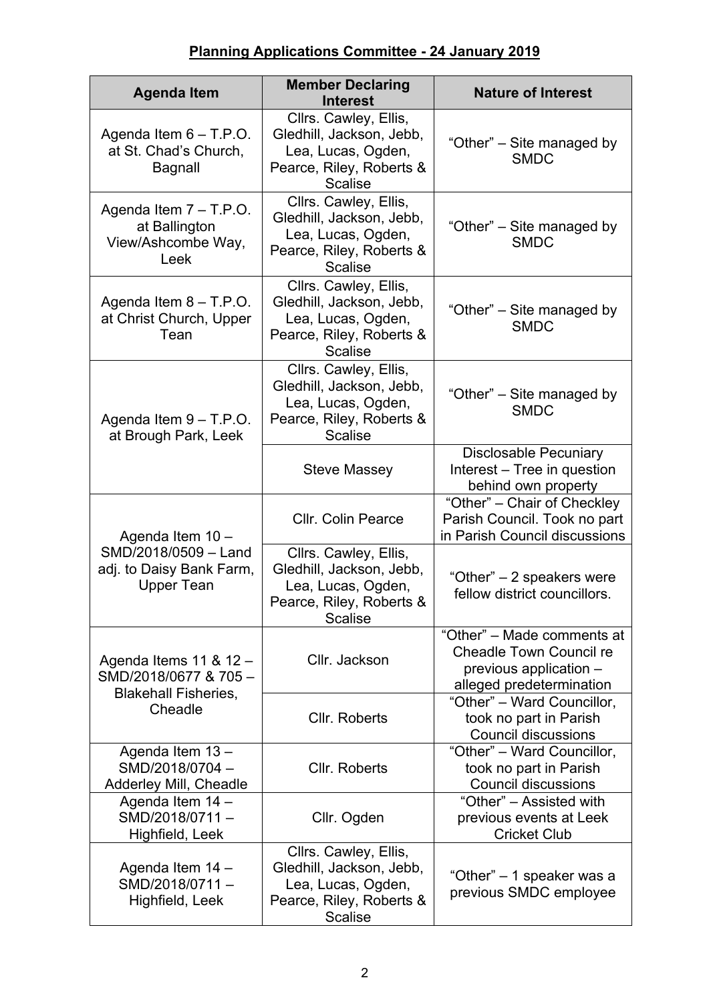| <b>Agenda Item</b>                                                      | <b>Member Declaring</b><br><b>Interest</b>                                                                            | <b>Nature of Interest</b>                                                                                          |
|-------------------------------------------------------------------------|-----------------------------------------------------------------------------------------------------------------------|--------------------------------------------------------------------------------------------------------------------|
| Agenda Item $6 - T.P.O.$<br>at St. Chad's Church,<br><b>Bagnall</b>     | Cllrs. Cawley, Ellis,<br>Gledhill, Jackson, Jebb,<br>Lea, Lucas, Ogden,<br>Pearce, Riley, Roberts &<br><b>Scalise</b> | "Other" – Site managed by<br><b>SMDC</b>                                                                           |
| Agenda Item $7 - T.P.O.$<br>at Ballington<br>View/Ashcombe Way,<br>Leek | Cllrs. Cawley, Ellis,<br>Gledhill, Jackson, Jebb,<br>Lea, Lucas, Ogden,<br>Pearce, Riley, Roberts &<br><b>Scalise</b> | "Other" – Site managed by<br><b>SMDC</b>                                                                           |
| Agenda Item $8 - T.P.O.$<br>at Christ Church, Upper<br>Tean             | Cllrs. Cawley, Ellis,<br>Gledhill, Jackson, Jebb,<br>Lea, Lucas, Ogden,<br>Pearce, Riley, Roberts &<br><b>Scalise</b> | "Other" – Site managed by<br><b>SMDC</b>                                                                           |
| Agenda Item $9 - T.P.O.$<br>at Brough Park, Leek                        | Cllrs. Cawley, Ellis,<br>Gledhill, Jackson, Jebb,<br>Lea, Lucas, Ogden,<br>Pearce, Riley, Roberts &<br><b>Scalise</b> | "Other" – Site managed by<br><b>SMDC</b>                                                                           |
|                                                                         | Steve Massey                                                                                                          | <b>Disclosable Pecuniary</b><br>Interest – Tree in question<br>behind own property                                 |
| Agenda Item 10 -                                                        | <b>Cllr. Colin Pearce</b>                                                                                             | "Other" - Chair of Checkley<br>Parish Council. Took no part<br>in Parish Council discussions                       |
| SMD/2018/0509 - Land<br>adj. to Daisy Bank Farm,<br><b>Upper Tean</b>   | Cllrs. Cawley, Ellis,<br>Gledhill, Jackson, Jebb,<br>Lea, Lucas, Ogden,<br>Pearce, Riley, Roberts &<br><b>Scalise</b> | "Other" – 2 speakers were<br>fellow district councillors.                                                          |
| Agenda Items 11 & 12 -<br>SMD/2018/0677 & 705-                          | Cllr. Jackson                                                                                                         | "Other" - Made comments at<br><b>Cheadle Town Council re</b><br>previous application -<br>alleged predetermination |
| <b>Blakehall Fisheries,</b><br>Cheadle                                  | Cllr. Roberts                                                                                                         | "Other" - Ward Councillor,<br>took no part in Parish<br><b>Council discussions</b>                                 |
| Agenda Item 13-<br>SMD/2018/0704-<br>Adderley Mill, Cheadle             | Cllr. Roberts                                                                                                         | "Other" - Ward Councillor,<br>took no part in Parish<br><b>Council discussions</b>                                 |
| Agenda Item 14 -<br>SMD/2018/0711-<br>Highfield, Leek                   | Cllr. Ogden                                                                                                           | "Other" – Assisted with<br>previous events at Leek<br><b>Cricket Club</b>                                          |
| Agenda Item 14 -<br>SMD/2018/0711-<br>Highfield, Leek                   | Cllrs. Cawley, Ellis,<br>Gledhill, Jackson, Jebb,<br>Lea, Lucas, Ogden,<br>Pearce, Riley, Roberts &<br><b>Scalise</b> | "Other" – 1 speaker was a<br>previous SMDC employee                                                                |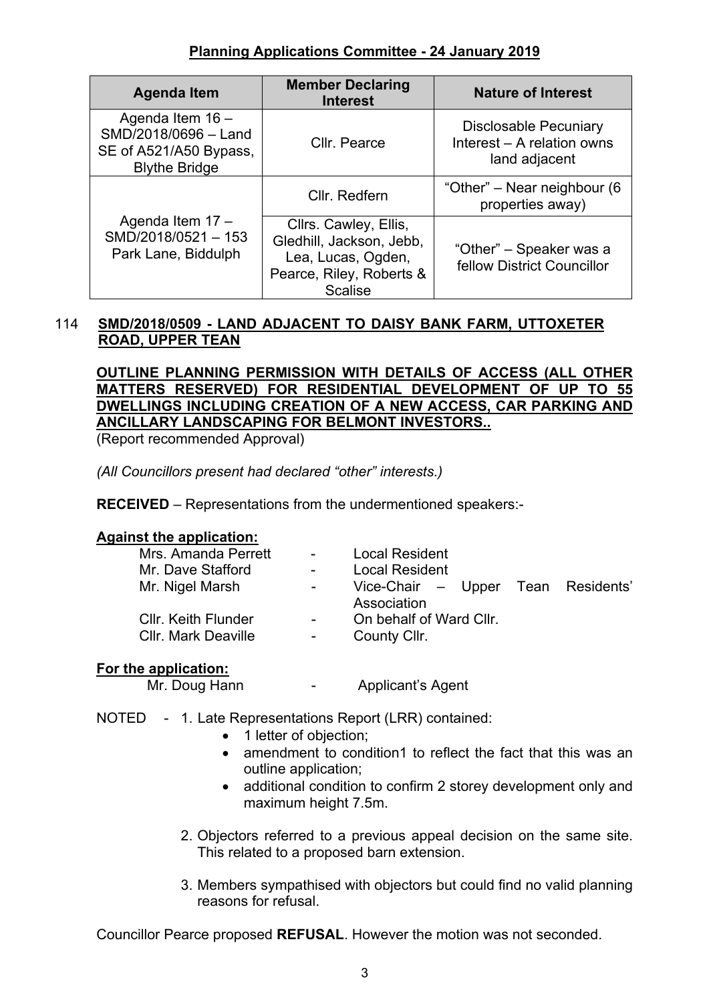| <b>Agenda Item</b>                                                                         | <b>Member Declaring</b><br><b>Interest</b>                                                                            | <b>Nature of Interest</b>                                                   |
|--------------------------------------------------------------------------------------------|-----------------------------------------------------------------------------------------------------------------------|-----------------------------------------------------------------------------|
| Agenda Item 16 -<br>SMD/2018/0696 - Land<br>SE of A521/A50 Bypass,<br><b>Blythe Bridge</b> | Cllr. Pearce                                                                                                          | <b>Disclosable Pecuniary</b><br>Interest - A relation owns<br>land adjacent |
|                                                                                            | Cllr. Redfern                                                                                                         | "Other" – Near neighbour (6<br>properties away)                             |
| Agenda Item 17 -<br>SMD/2018/0521-153<br>Park Lane, Biddulph                               | Cllrs. Cawley, Ellis,<br>Gledhill, Jackson, Jebb,<br>Lea, Lucas, Ogden,<br>Pearce, Riley, Roberts &<br><b>Scalise</b> | "Other" - Speaker was a<br>fellow District Councillor                       |

# 114 **SMD/2018/0509 - LAND ADJACENT TO DAISY BANK FARM, UTTOXETER ROAD, UPPER TEAN**

**OUTLINE PLANNING PERMISSION WITH DETAILS OF ACCESS (ALL OTHER MATTERS RESERVED) FOR RESIDENTIAL DEVELOPMENT OF UP TO 55 DWELLINGS INCLUDING CREATION OF A NEW ACCESS, CAR PARKING AND ANCILLARY LANDSCAPING FOR BELMONT INVESTORS..**

(Report recommended Approval)

*(All Councillors present had declared "other" interests.)*

**RECEIVED** – Representations from the undermentioned speakers:-

# **Against the application:**

| Mrs. Amanda Perrett        |        | <b>Local Resident</b>              |  |
|----------------------------|--------|------------------------------------|--|
|                            |        |                                    |  |
| Mr. Dave Stafford          |        | <b>Local Resident</b>              |  |
| Mr. Nigel Marsh            | $\sim$ | Vice-Chair – Upper Tean Residents' |  |
|                            |        | Association                        |  |
| <b>Cllr. Keith Flunder</b> |        | On behalf of Ward Cllr.            |  |
| <b>Cllr. Mark Deaville</b> |        | County Cllr.                       |  |
|                            |        |                                    |  |
|                            |        |                                    |  |

#### **For the application:**

Mr. Doug Hann The Applicant's Agent

NOTED - 1. Late Representations Report (LRR) contained:

- 1 letter of objection;
- amendment to condition1 to reflect the fact that this was an outline application;
- additional condition to confirm 2 storey development only and maximum height 7.5m.
- 2. Objectors referred to a previous appeal decision on the same site. This related to a proposed barn extension.
- 3. Members sympathised with objectors but could find no valid planning reasons for refusal.

Councillor Pearce proposed **REFUSAL**. However the motion was not seconded.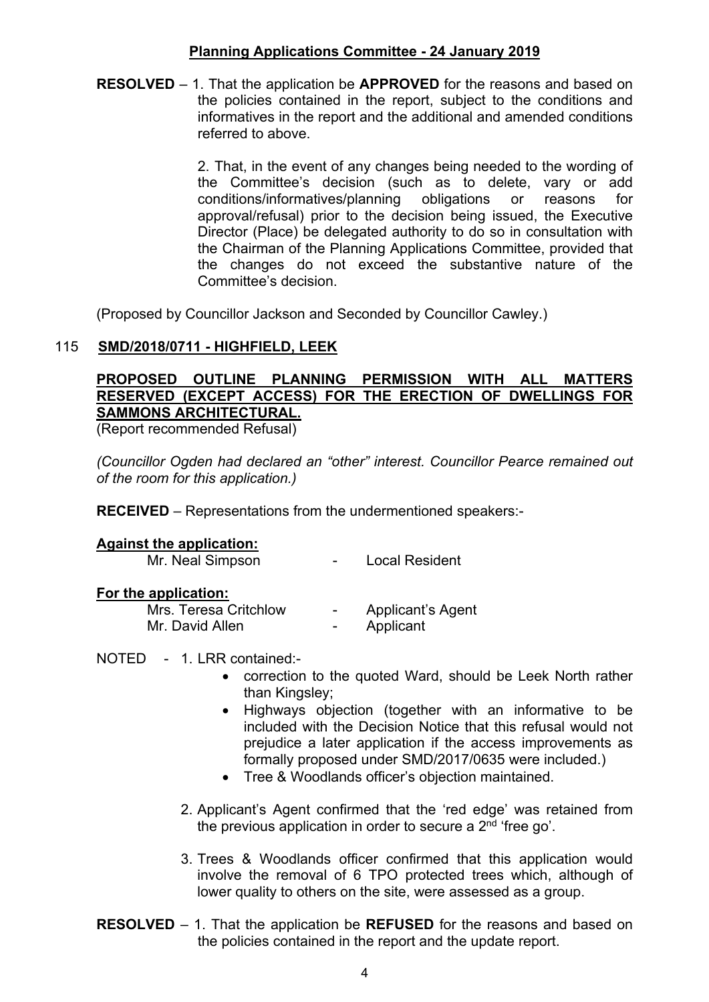**RESOLVED** – 1. That the application be **APPROVED** for the reasons and based on the policies contained in the report, subject to the conditions and informatives in the report and the additional and amended conditions referred to above.

> 2. That, in the event of any changes being needed to the wording of the Committee's decision (such as to delete, vary or add conditions/informatives/planning obligations or reasons for approval/refusal) prior to the decision being issued, the Executive Director (Place) be delegated authority to do so in consultation with the Chairman of the Planning Applications Committee, provided that the changes do not exceed the substantive nature of the Committee's decision.

(Proposed by Councillor Jackson and Seconded by Councillor Cawley.)

#### 115 **SMD/2018/0711 - HIGHFIELD, LEEK**

# **PROPOSED OUTLINE PLANNING PERMISSION WITH ALL MATTERS RESERVED (EXCEPT ACCESS) FOR THE ERECTION OF DWELLINGS FOR SAMMONS ARCHITECTURAL.**

(Report recommended Refusal)

*(Councillor Ogden had declared an "other" interest. Councillor Pearce remained out of the room for this application.)*

**RECEIVED** – Representations from the undermentioned speakers:-

#### **Against the application:**

Mr. Neal Simpson **-** Local Resident

#### **For the application:**

| Mrs. Teresa Critchlow | $\sim$                   | <b>Applicant's Agent</b> |
|-----------------------|--------------------------|--------------------------|
| Mr. David Allen       | $\overline{\phantom{0}}$ | Applicant                |

NOTED - 1. LRR contained:-

- correction to the quoted Ward, should be Leek North rather than Kingsley;
- Highways objection (together with an informative to be included with the Decision Notice that this refusal would not prejudice a later application if the access improvements as formally proposed under SMD/2017/0635 were included.)
- Tree & Woodlands officer's objection maintained.
- 2. Applicant's Agent confirmed that the 'red edge' was retained from the previous application in order to secure a 2<sup>nd</sup> 'free go'.
- 3. Trees & Woodlands officer confirmed that this application would involve the removal of 6 TPO protected trees which, although of lower quality to others on the site, were assessed as a group.
- **RESOLVED** 1. That the application be **REFUSED** for the reasons and based on the policies contained in the report and the update report.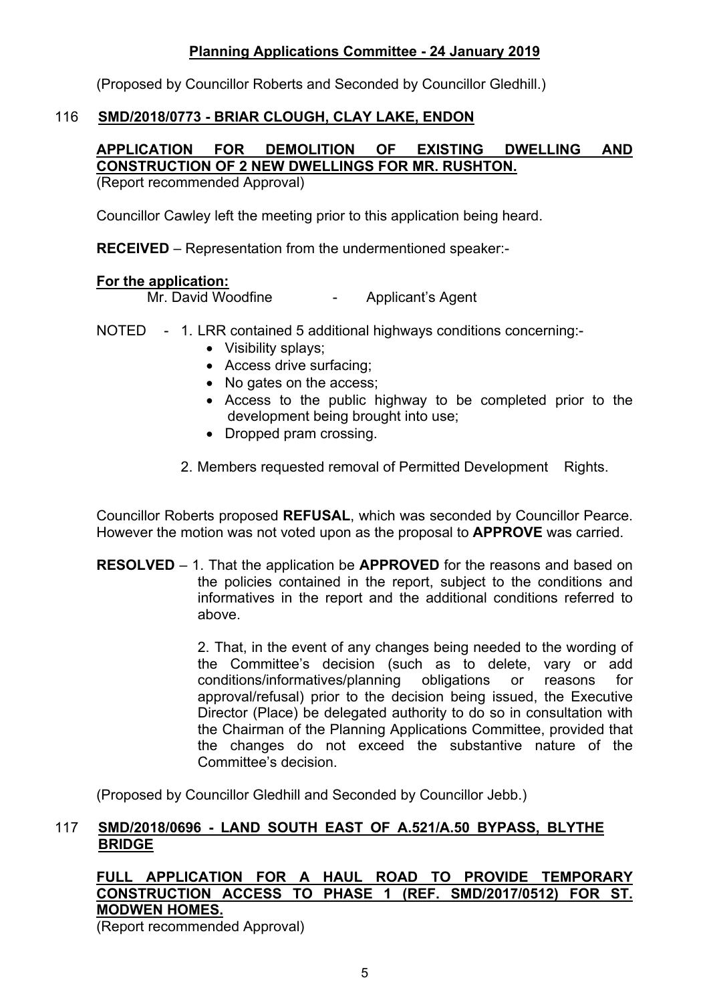(Proposed by Councillor Roberts and Seconded by Councillor Gledhill.)

# 116 **SMD/2018/0773 - BRIAR CLOUGH, CLAY LAKE, ENDON**

# **APPLICATION FOR DEMOLITION OF EXISTING DWELLING AND CONSTRUCTION OF 2 NEW DWELLINGS FOR MR. RUSHTON.**

(Report recommended Approval)

Councillor Cawley left the meeting prior to this application being heard.

**RECEIVED** – Representation from the undermentioned speaker:-

#### **For the application:**

Mr. David Woodfine **-** Applicant's Agent

- NOTED 1. LRR contained 5 additional highways conditions concerning:-
	- Visibility splays:
	- Access drive surfacing;
	- No gates on the access;
	- Access to the public highway to be completed prior to the development being brought into use;
	- Dropped pram crossing.
	- 2. Members requested removal of Permitted Development Rights.

Councillor Roberts proposed **REFUSAL**, which was seconded by Councillor Pearce. However the motion was not voted upon as the proposal to **APPROVE** was carried.

**RESOLVED** – 1. That the application be **APPROVED** for the reasons and based on the policies contained in the report, subject to the conditions and informatives in the report and the additional conditions referred to above.

> 2. That, in the event of any changes being needed to the wording of the Committee's decision (such as to delete, vary or add conditions/informatives/planning obligations or reasons for approval/refusal) prior to the decision being issued, the Executive Director (Place) be delegated authority to do so in consultation with the Chairman of the Planning Applications Committee, provided that the changes do not exceed the substantive nature of the Committee's decision.

(Proposed by Councillor Gledhill and Seconded by Councillor Jebb.)

#### 117 **SMD/2018/0696 - LAND SOUTH EAST OF A.521/A.50 BYPASS, BLYTHE BRIDGE**

# **FULL APPLICATION FOR A HAUL ROAD TO PROVIDE TEMPORARY CONSTRUCTION ACCESS TO PHASE 1 (REF. SMD/2017/0512) FOR ST. MODWEN HOMES.**

(Report recommended Approval)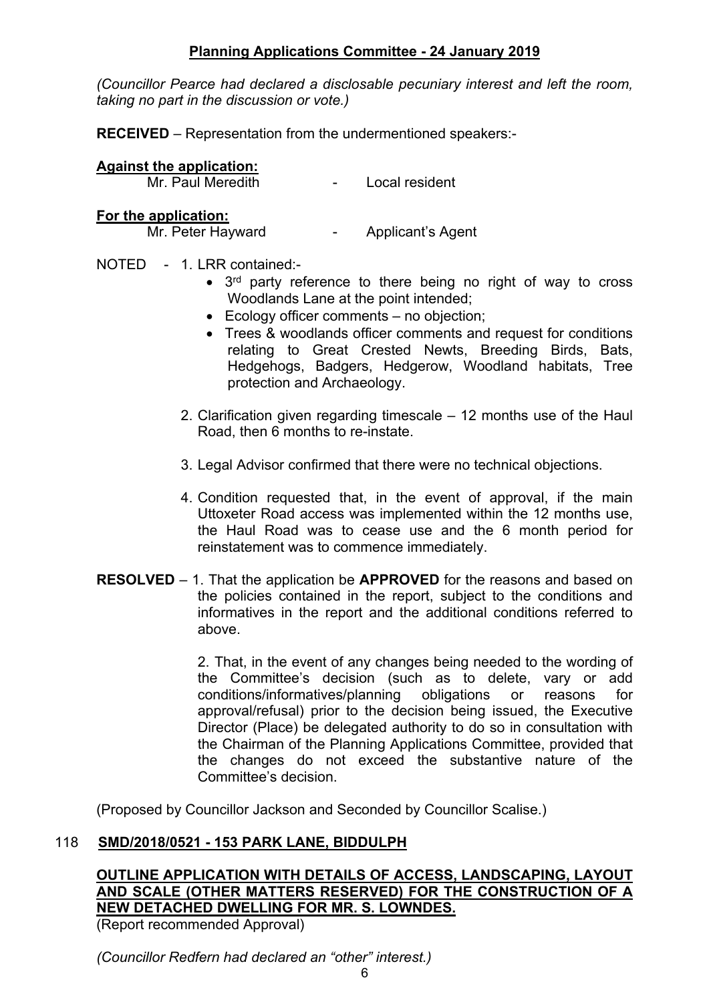*(Councillor Pearce had declared a disclosable pecuniary interest and left the room, taking no part in the discussion or vote.)*

**RECEIVED** – Representation from the undermentioned speakers:-

# **Against the application:**

#### - Local resident

#### **For the application:**

Mr. Peter Hayward **- Applicant's Agent** 

#### NOTED - 1. LRR contained:-

- 3<sup>rd</sup> party reference to there being no right of way to cross Woodlands Lane at the point intended;
- Ecology officer comments no objection;
- Trees & woodlands officer comments and request for conditions relating to Great Crested Newts, Breeding Birds, Bats, Hedgehogs, Badgers, Hedgerow, Woodland habitats, Tree protection and Archaeology.
- 2. Clarification given regarding timescale 12 months use of the Haul Road, then 6 months to re-instate.
- 3. Legal Advisor confirmed that there were no technical objections.
- 4. Condition requested that, in the event of approval, if the main Uttoxeter Road access was implemented within the 12 months use, the Haul Road was to cease use and the 6 month period for reinstatement was to commence immediately.
- **RESOLVED** 1. That the application be **APPROVED** for the reasons and based on the policies contained in the report, subject to the conditions and informatives in the report and the additional conditions referred to above.

2. That, in the event of any changes being needed to the wording of the Committee's decision (such as to delete, vary or add conditions/informatives/planning obligations or reasons for approval/refusal) prior to the decision being issued, the Executive Director (Place) be delegated authority to do so in consultation with the Chairman of the Planning Applications Committee, provided that the changes do not exceed the substantive nature of the Committee's decision.

(Proposed by Councillor Jackson and Seconded by Councillor Scalise.)

#### 118 **SMD/2018/0521 - 153 PARK LANE, BIDDULPH**

# **OUTLINE APPLICATION WITH DETAILS OF ACCESS, LANDSCAPING, LAYOUT AND SCALE (OTHER MATTERS RESERVED) FOR THE CONSTRUCTION OF A NEW DETACHED DWELLING FOR MR. S. LOWNDES.**

(Report recommended Approval)

*(Councillor Redfern had declared an "other" interest.)*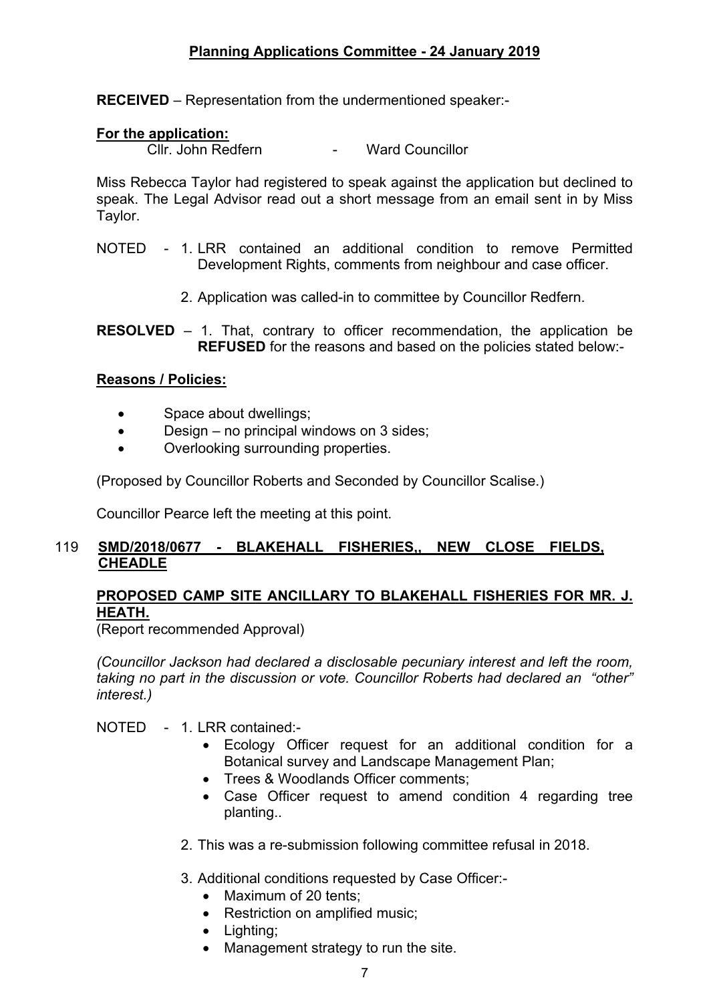**RECEIVED** – Representation from the undermentioned speaker:-

# **For the application:**

Cllr. John Redfern - Ward Councillor

Miss Rebecca Taylor had registered to speak against the application but declined to speak. The Legal Advisor read out a short message from an email sent in by Miss Taylor.

- NOTED 1. LRR contained an additional condition to remove Permitted Development Rights, comments from neighbour and case officer.
	- 2. Application was called-in to committee by Councillor Redfern.

**RESOLVED** – 1. That, contrary to officer recommendation, the application be **REFUSED** for the reasons and based on the policies stated below:-

# **Reasons / Policies:**

- Space about dwellings;
- Design no principal windows on 3 sides;
- Overlooking surrounding properties.

(Proposed by Councillor Roberts and Seconded by Councillor Scalise.)

Councillor Pearce left the meeting at this point.

# 119 **SMD/2018/0677 - BLAKEHALL FISHERIES,, NEW CLOSE FIELDS, CHEADLE**

# **PROPOSED CAMP SITE ANCILLARY TO BLAKEHALL FISHERIES FOR MR. J. HEATH.**

(Report recommended Approval)

*(Councillor Jackson had declared a disclosable pecuniary interest and left the room, taking no part in the discussion or vote. Councillor Roberts had declared an "other" interest.)*

NOTED - 1. LRR contained:-

- Ecology Officer request for an additional condition for a Botanical survey and Landscape Management Plan;
- Trees & Woodlands Officer comments:
- Case Officer request to amend condition 4 regarding tree planting..
- 2. This was a re-submission following committee refusal in 2018.

3. Additional conditions requested by Case Officer:-

- Maximum of 20 tents:
- Restriction on amplified music;
- Lighting;
- Management strategy to run the site.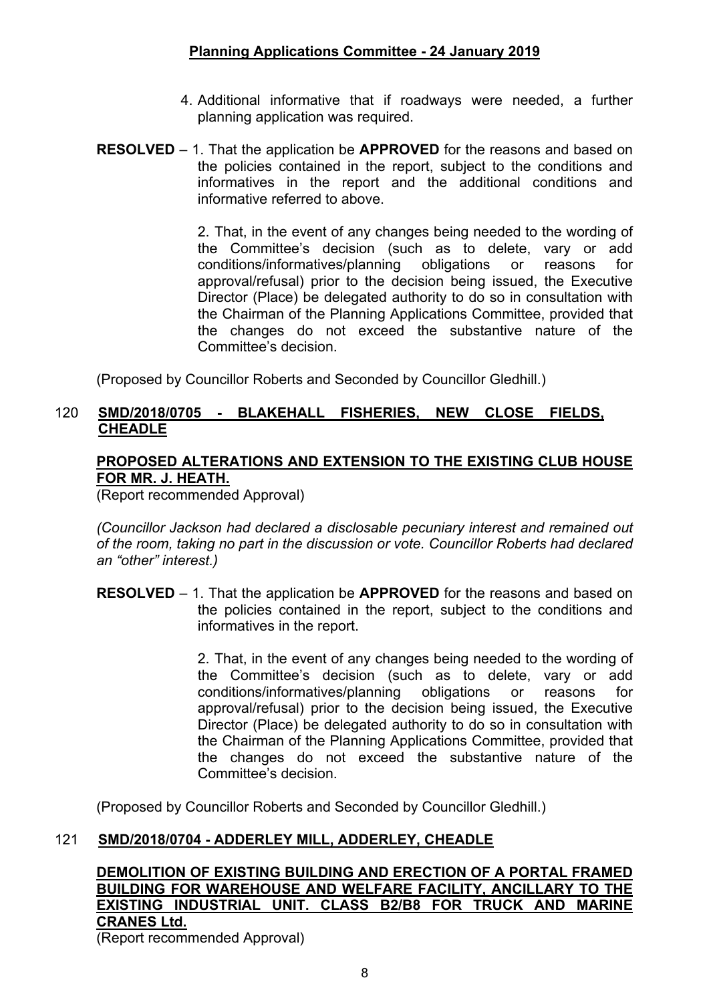- 4. Additional informative that if roadways were needed, a further planning application was required.
- **RESOLVED** 1. That the application be **APPROVED** for the reasons and based on the policies contained in the report, subject to the conditions and informatives in the report and the additional conditions and informative referred to above.

2. That, in the event of any changes being needed to the wording of the Committee's decision (such as to delete, vary or add conditions/informatives/planning obligations or reasons for approval/refusal) prior to the decision being issued, the Executive Director (Place) be delegated authority to do so in consultation with the Chairman of the Planning Applications Committee, provided that the changes do not exceed the substantive nature of the Committee's decision.

(Proposed by Councillor Roberts and Seconded by Councillor Gledhill.)

#### 120 **SMD/2018/0705 - BLAKEHALL FISHERIES, NEW CLOSE FIELDS, CHEADLE**

# **PROPOSED ALTERATIONS AND EXTENSION TO THE EXISTING CLUB HOUSE FOR MR. J. HEATH.**

(Report recommended Approval)

*(Councillor Jackson had declared a disclosable pecuniary interest and remained out of the room, taking no part in the discussion or vote. Councillor Roberts had declared an "other" interest.)*

**RESOLVED** – 1. That the application be **APPROVED** for the reasons and based on the policies contained in the report, subject to the conditions and informatives in the report.

> 2. That, in the event of any changes being needed to the wording of the Committee's decision (such as to delete, vary or add conditions/informatives/planning obligations or reasons for approval/refusal) prior to the decision being issued, the Executive Director (Place) be delegated authority to do so in consultation with the Chairman of the Planning Applications Committee, provided that the changes do not exceed the substantive nature of the Committee's decision.

(Proposed by Councillor Roberts and Seconded by Councillor Gledhill.)

# 121 **SMD/2018/0704 - ADDERLEY MILL, ADDERLEY, CHEADLE**

**DEMOLITION OF EXISTING BUILDING AND ERECTION OF A PORTAL FRAMED BUILDING FOR WAREHOUSE AND WELFARE FACILITY, ANCILLARY TO THE EXISTING INDUSTRIAL UNIT. CLASS B2/B8 FOR TRUCK AND MARINE CRANES Ltd.**

(Report recommended Approval)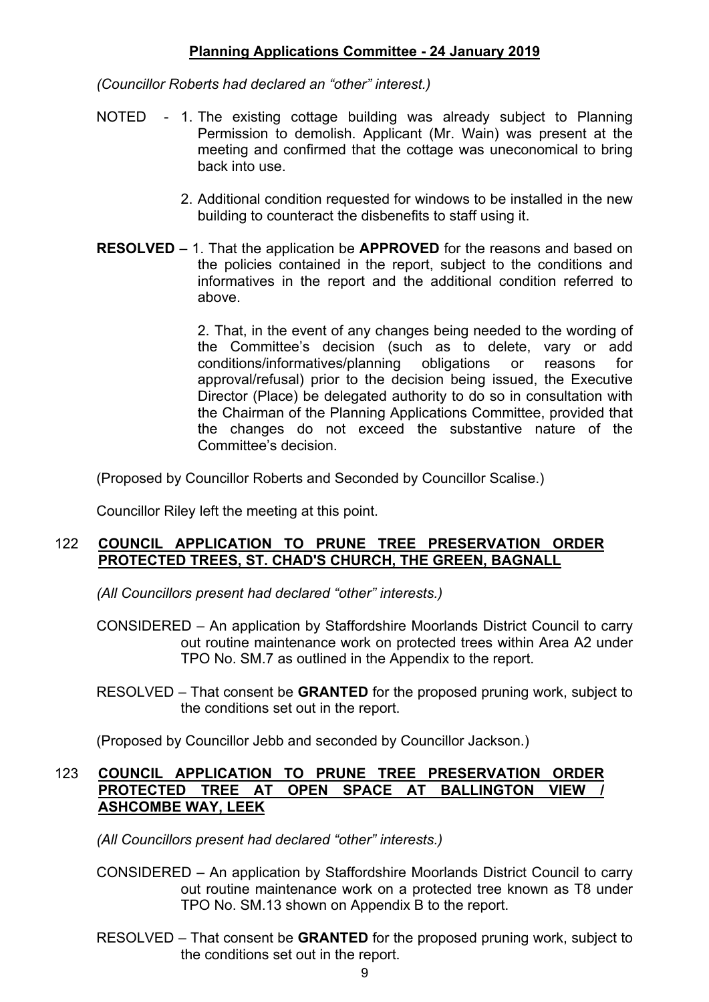*(Councillor Roberts had declared an "other" interest.)*

- NOTED 1. The existing cottage building was already subject to Planning Permission to demolish. Applicant (Mr. Wain) was present at the meeting and confirmed that the cottage was uneconomical to bring back into use.
	- 2. Additional condition requested for windows to be installed in the new building to counteract the disbenefits to staff using it.
- **RESOLVED** 1. That the application be **APPROVED** for the reasons and based on the policies contained in the report, subject to the conditions and informatives in the report and the additional condition referred to above.

2. That, in the event of any changes being needed to the wording of the Committee's decision (such as to delete, vary or add conditions/informatives/planning obligations or reasons for approval/refusal) prior to the decision being issued, the Executive Director (Place) be delegated authority to do so in consultation with the Chairman of the Planning Applications Committee, provided that the changes do not exceed the substantive nature of the Committee's decision.

(Proposed by Councillor Roberts and Seconded by Councillor Scalise.)

Councillor Riley left the meeting at this point.

#### 122 **COUNCIL APPLICATION TO PRUNE TREE PRESERVATION ORDER PROTECTED TREES, ST. CHAD'S CHURCH, THE GREEN, BAGNALL**

*(All Councillors present had declared "other" interests.)*

CONSIDERED – An application by Staffordshire Moorlands District Council to carry out routine maintenance work on protected trees within Area A2 under TPO No. SM.7 as outlined in the Appendix to the report.

RESOLVED – That consent be **GRANTED** for the proposed pruning work, subject to the conditions set out in the report.

(Proposed by Councillor Jebb and seconded by Councillor Jackson.)

#### 123 **COUNCIL APPLICATION TO PRUNE TREE PRESERVATION ORDER PROTECTED TREE AT OPEN SPACE AT BALLINGTON VIEW / ASHCOMBE WAY, LEEK**

*(All Councillors present had declared "other" interests.)*

- CONSIDERED An application by Staffordshire Moorlands District Council to carry out routine maintenance work on a protected tree known as T8 under TPO No. SM.13 shown on Appendix B to the report.
- RESOLVED That consent be **GRANTED** for the proposed pruning work, subject to the conditions set out in the report.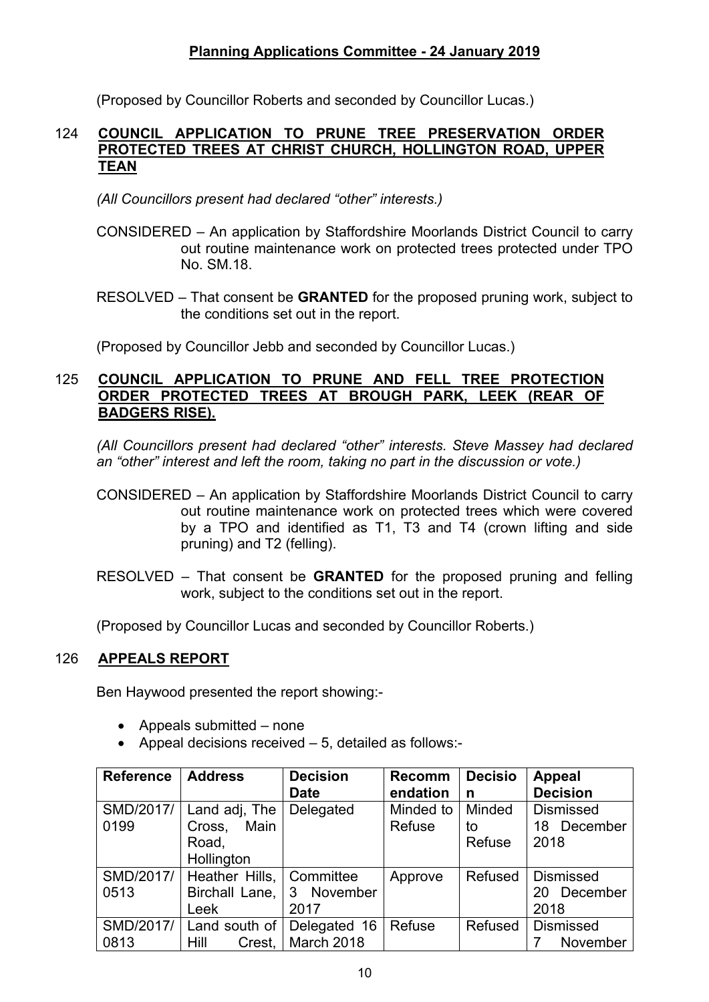(Proposed by Councillor Roberts and seconded by Councillor Lucas.)

#### 124 **COUNCIL APPLICATION TO PRUNE TREE PRESERVATION ORDER PROTECTED TREES AT CHRIST CHURCH, HOLLINGTON ROAD, UPPER TEAN**

*(All Councillors present had declared "other" interests.)*

- CONSIDERED An application by Staffordshire Moorlands District Council to carry out routine maintenance work on protected trees protected under TPO No. SM.18.
- RESOLVED That consent be **GRANTED** for the proposed pruning work, subject to the conditions set out in the report.

(Proposed by Councillor Jebb and seconded by Councillor Lucas.)

#### 125 **COUNCIL APPLICATION TO PRUNE AND FELL TREE PROTECTION ORDER PROTECTED TREES AT BROUGH PARK, LEEK (REAR OF BADGERS RISE).**

*(All Councillors present had declared "other" interests. Steve Massey had declared an "other" interest and left the room, taking no part in the discussion or vote.)*

- CONSIDERED An application by Staffordshire Moorlands District Council to carry out routine maintenance work on protected trees which were covered by a TPO and identified as T1, T3 and T4 (crown lifting and side pruning) and T2 (felling).
- RESOLVED That consent be **GRANTED** for the proposed pruning and felling work, subject to the conditions set out in the report.

(Proposed by Councillor Lucas and seconded by Councillor Roberts.)

# 126 **APPEALS REPORT**

Ben Haywood presented the report showing:-

- Appeals submitted none
- Appeal decisions received 5, detailed as follows:-

| <b>Reference</b> | <b>Address</b>            | <b>Decision</b> | <b>Recomm</b> | <b>Decisio</b> | <b>Appeal</b>    |
|------------------|---------------------------|-----------------|---------------|----------------|------------------|
|                  |                           | <b>Date</b>     | endation      | n              | <b>Decision</b>  |
| SMD/2017/        | Land adj, The             | Delegated       | Minded to     | Minded         | <b>Dismissed</b> |
| 0199             | Main<br>Cross,            |                 | Refuse        | to             | 18 December      |
|                  | Road,                     |                 |               | Refuse         | 2018             |
|                  | Hollington                |                 |               |                |                  |
| SMD/2017/        | Heather Hills,            | Committee       | Approve       | Refused        | <b>Dismissed</b> |
| 0513             | Birchall Lane, 3 November |                 |               |                | December<br>20   |
|                  | Leek                      | 2017            |               |                | 2018             |
| SMD/2017/        | Land south of             | Delegated 16    | Refuse        | Refused        | <b>Dismissed</b> |
| 0813             | Crest.<br>Hill            | March 2018      |               |                | November         |